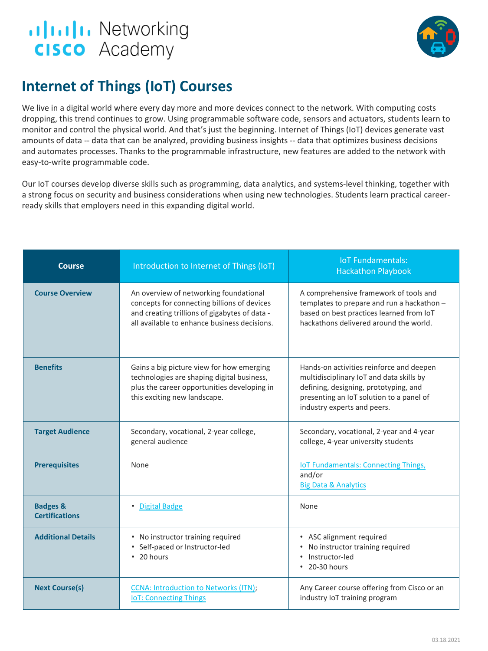



## **Internet of Things (IoT) Courses**

We live in a digital world where every day more and more devices connect to the network. With computing costs dropping, this trend continues to grow. Using programmable software code, sensors and actuators, students learn to monitor and control the physical world. And that's just the beginning. Internet of Things (IoT) devices generate vast amounts of data -- data that can be analyzed, providing business insights -- data that optimizes business decisions and automates processes. Thanks to the programmable infrastructure, new features are added to the network with easy-to-write programmable code.

Our IoT courses develop diverse skills such as programming, data analytics, and systems-level thinking, together with a strong focus on security and business considerations when using new technologies. Students learn practical careerready skills that employers need in this expanding digital world.

| Course                                       | Introduction to Internet of Things (IoT)                                                                                                                                               | <b>IoT Fundamentals:</b><br><b>Hackathon Playbook</b>                                                                                                                                                    |
|----------------------------------------------|----------------------------------------------------------------------------------------------------------------------------------------------------------------------------------------|----------------------------------------------------------------------------------------------------------------------------------------------------------------------------------------------------------|
| <b>Course Overview</b>                       | An overview of networking foundational<br>concepts for connecting billions of devices<br>and creating trillions of gigabytes of data -<br>all available to enhance business decisions. | A comprehensive framework of tools and<br>templates to prepare and run a hackathon -<br>based on best practices learned from IoT<br>hackathons delivered around the world.                               |
| <b>Benefits</b>                              | Gains a big picture view for how emerging<br>technologies are shaping digital business,<br>plus the career opportunities developing in<br>this exciting new landscape.                 | Hands-on activities reinforce and deepen<br>multidisciplinary IoT and data skills by<br>defining, designing, prototyping, and<br>presenting an IoT solution to a panel of<br>industry experts and peers. |
| <b>Target Audience</b>                       | Secondary, vocational, 2-year college,<br>general audience                                                                                                                             | Secondary, vocational, 2-year and 4-year<br>college, 4-year university students                                                                                                                          |
| <b>Prerequisites</b>                         | None                                                                                                                                                                                   | <b>IOT Fundamentals: Connecting Things,</b><br>and/or<br><b>Big Data &amp; Analytics</b>                                                                                                                 |
| <b>Badges &amp;</b><br><b>Certifications</b> | • Digital Badge                                                                                                                                                                        | None                                                                                                                                                                                                     |
| <b>Additional Details</b>                    | • No instructor training required<br>• Self-paced or Instructor-led<br>$\cdot$ 20 hours                                                                                                | • ASC alignment required<br>No instructor training required<br>Instructor-led<br>• 20-30 hours                                                                                                           |
| <b>Next Course(s)</b>                        | <b>CCNA: Introduction to Networks (ITN);</b><br><b>IoT: Connecting Things</b>                                                                                                          | Any Career course offering from Cisco or an<br>industry IoT training program                                                                                                                             |